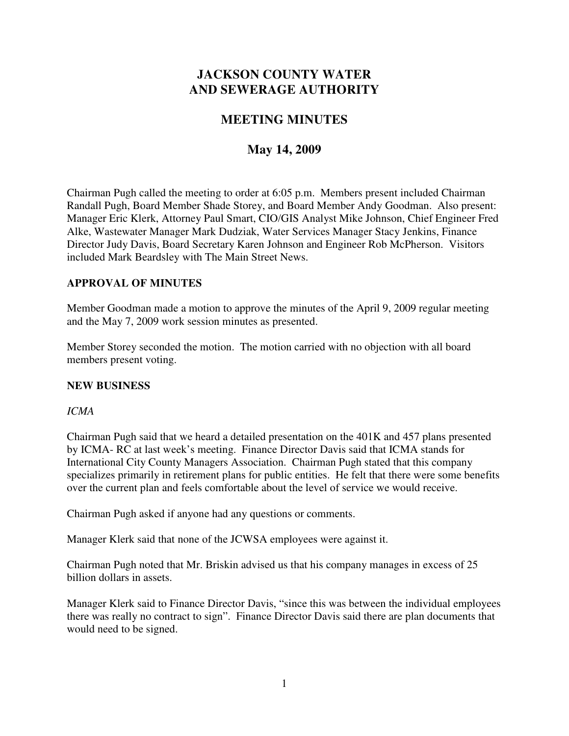# **JACKSON COUNTY WATER AND SEWERAGE AUTHORITY**

# **MEETING MINUTES**

# **May 14, 2009**

Chairman Pugh called the meeting to order at 6:05 p.m. Members present included Chairman Randall Pugh, Board Member Shade Storey, and Board Member Andy Goodman. Also present: Manager Eric Klerk, Attorney Paul Smart, CIO/GIS Analyst Mike Johnson, Chief Engineer Fred Alke, Wastewater Manager Mark Dudziak, Water Services Manager Stacy Jenkins, Finance Director Judy Davis, Board Secretary Karen Johnson and Engineer Rob McPherson. Visitors included Mark Beardsley with The Main Street News.

## **APPROVAL OF MINUTES**

Member Goodman made a motion to approve the minutes of the April 9, 2009 regular meeting and the May 7, 2009 work session minutes as presented.

Member Storey seconded the motion. The motion carried with no objection with all board members present voting.

### **NEW BUSINESS**

### *ICMA*

Chairman Pugh said that we heard a detailed presentation on the 401K and 457 plans presented by ICMA- RC at last week's meeting. Finance Director Davis said that ICMA stands for International City County Managers Association. Chairman Pugh stated that this company specializes primarily in retirement plans for public entities. He felt that there were some benefits over the current plan and feels comfortable about the level of service we would receive.

Chairman Pugh asked if anyone had any questions or comments.

Manager Klerk said that none of the JCWSA employees were against it.

Chairman Pugh noted that Mr. Briskin advised us that his company manages in excess of 25 billion dollars in assets.

Manager Klerk said to Finance Director Davis, "since this was between the individual employees there was really no contract to sign". Finance Director Davis said there are plan documents that would need to be signed.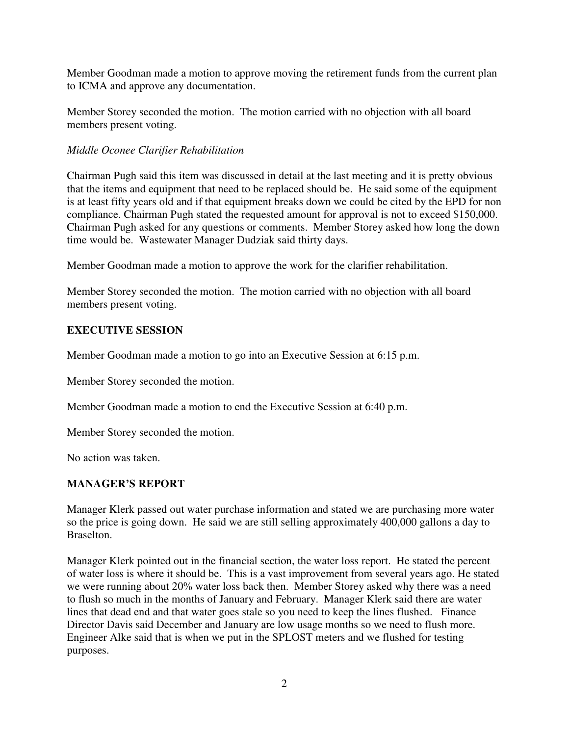Member Goodman made a motion to approve moving the retirement funds from the current plan to ICMA and approve any documentation.

Member Storey seconded the motion. The motion carried with no objection with all board members present voting.

## *Middle Oconee Clarifier Rehabilitation*

Chairman Pugh said this item was discussed in detail at the last meeting and it is pretty obvious that the items and equipment that need to be replaced should be. He said some of the equipment is at least fifty years old and if that equipment breaks down we could be cited by the EPD for non compliance. Chairman Pugh stated the requested amount for approval is not to exceed \$150,000. Chairman Pugh asked for any questions or comments. Member Storey asked how long the down time would be. Wastewater Manager Dudziak said thirty days.

Member Goodman made a motion to approve the work for the clarifier rehabilitation.

Member Storey seconded the motion. The motion carried with no objection with all board members present voting.

## **EXECUTIVE SESSION**

Member Goodman made a motion to go into an Executive Session at 6:15 p.m.

Member Storey seconded the motion.

Member Goodman made a motion to end the Executive Session at 6:40 p.m.

Member Storey seconded the motion.

No action was taken.

# **MANAGER'S REPORT**

Manager Klerk passed out water purchase information and stated we are purchasing more water so the price is going down. He said we are still selling approximately 400,000 gallons a day to Braselton.

Manager Klerk pointed out in the financial section, the water loss report. He stated the percent of water loss is where it should be. This is a vast improvement from several years ago. He stated we were running about 20% water loss back then. Member Storey asked why there was a need to flush so much in the months of January and February. Manager Klerk said there are water lines that dead end and that water goes stale so you need to keep the lines flushed. Finance Director Davis said December and January are low usage months so we need to flush more. Engineer Alke said that is when we put in the SPLOST meters and we flushed for testing purposes.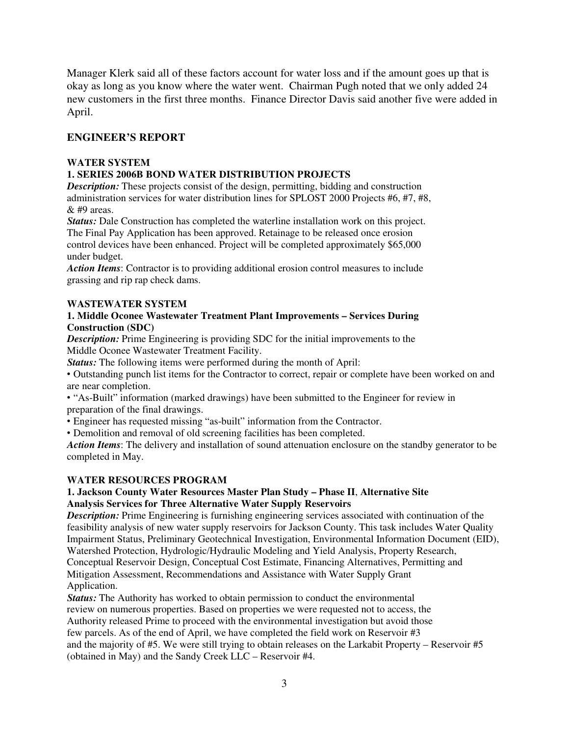Manager Klerk said all of these factors account for water loss and if the amount goes up that is okay as long as you know where the water went. Chairman Pugh noted that we only added 24 new customers in the first three months. Finance Director Davis said another five were added in April.

## **ENGINEER'S REPORT**

#### **WATER SYSTEM**

### **1. SERIES 2006B BOND WATER DISTRIBUTION PROJECTS**

**Description:** These projects consist of the design, permitting, bidding and construction administration services for water distribution lines for SPLOST 2000 Projects #6, #7, #8, & #9 areas.

*Status:* Dale Construction has completed the waterline installation work on this project. The Final Pay Application has been approved. Retainage to be released once erosion control devices have been enhanced. Project will be completed approximately \$65,000 under budget.

*Action Items*: Contractor is to providing additional erosion control measures to include grassing and rip rap check dams.

#### **WASTEWATER SYSTEM**

#### **1. Middle Oconee Wastewater Treatment Plant Improvements – Services During Construction (SDC)**

*Description:* Prime Engineering is providing SDC for the initial improvements to the Middle Oconee Wastewater Treatment Facility.

*Status:* The following items were performed during the month of April:

• Outstanding punch list items for the Contractor to correct, repair or complete have been worked on and are near completion.

• "As-Built" information (marked drawings) have been submitted to the Engineer for review in preparation of the final drawings.

• Engineer has requested missing "as-built" information from the Contractor.

• Demolition and removal of old screening facilities has been completed.

*Action Items*: The delivery and installation of sound attenuation enclosure on the standby generator to be completed in May.

### **WATER RESOURCES PROGRAM**

#### **1. Jackson County Water Resources Master Plan Study – Phase II**, **Alternative Site Analysis Services for Three Alternative Water Supply Reservoirs**

*Description:* Prime Engineering is furnishing engineering services associated with continuation of the feasibility analysis of new water supply reservoirs for Jackson County. This task includes Water Quality Impairment Status, Preliminary Geotechnical Investigation, Environmental Information Document (EID), Watershed Protection, Hydrologic/Hydraulic Modeling and Yield Analysis, Property Research, Conceptual Reservoir Design, Conceptual Cost Estimate, Financing Alternatives, Permitting and Mitigation Assessment, Recommendations and Assistance with Water Supply Grant Application.

*Status:* The Authority has worked to obtain permission to conduct the environmental review on numerous properties. Based on properties we were requested not to access, the Authority released Prime to proceed with the environmental investigation but avoid those few parcels. As of the end of April, we have completed the field work on Reservoir #3 and the majority of #5. We were still trying to obtain releases on the Larkabit Property – Reservoir #5 (obtained in May) and the Sandy Creek LLC – Reservoir #4.